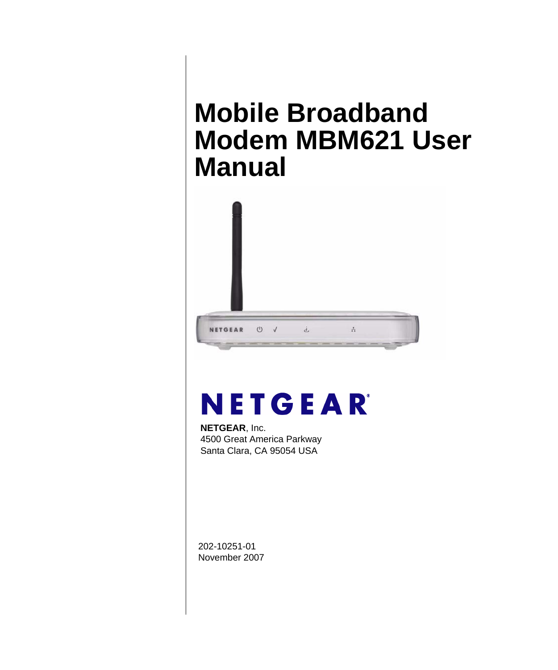# <span id="page-0-0"></span>**Mobile Broadband Modem MBM621 User Manual**



# NETGEAR

**NETGEAR**, Inc. 4500 Great America Parkway Santa Clara, CA 95054 USA

202-10251-01 November 2007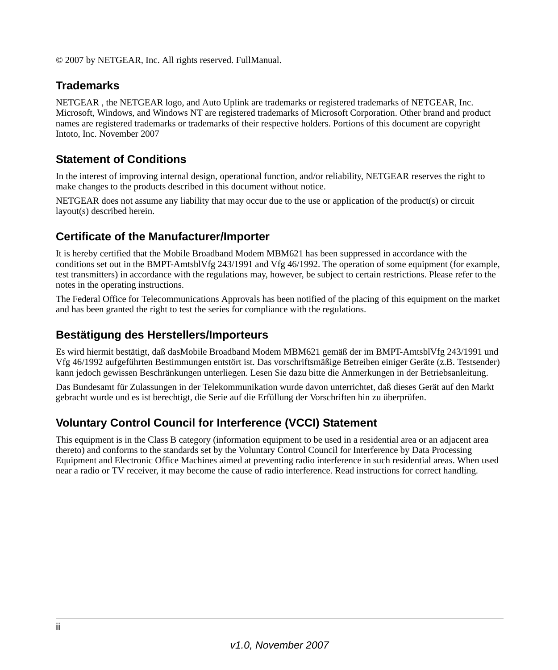© 2007 by NETGEAR, Inc. All rights reserved. FullManual.

#### **Trademarks**

NETGEAR , the NETGEAR logo, and Auto Uplink are trademarks or registered trademarks of NETGEAR, Inc. Microsoft, Windows, and Windows NT are registered trademarks of Microsoft Corporation. Other brand and product names are registered trademarks or trademarks of their respective holders. Portions of this document are copyright Intoto, Inc. November 2007

#### **Statement of Conditions**

In the interest of improving internal design, operational function, and/or reliability, NETGEAR reserves the right to make changes to the products described in this document without notice.

NETGEAR does not assume any liability that may occur due to the use or application of the product(s) or circuit layout(s) described herein.

#### **Certificate of the Manufacturer/Importer**

It is hereby certified that the Mobile Broadband Modem MBM621 has been suppressed in accordance with the conditions set out in the BMPT-AmtsblVfg 243/1991 and Vfg 46/1992. The operation of some equipment (for example, test transmitters) in accordance with the regulations may, however, be subject to certain restrictions. Please refer to the notes in the operating instructions.

The Federal Office for Telecommunications Approvals has been notified of the placing of this equipment on the market and has been granted the right to test the series for compliance with the regulations.

#### **Bestätigung des Herstellers/Importeurs**

Es wird hiermit bestätigt, daß dasMobile Broadband Modem MBM621 gemäß der im BMPT-AmtsblVfg 243/1991 und Vfg 46/1992 aufgeführten Bestimmungen entstört ist. Das vorschriftsmäßige Betreiben einiger Geräte (z.B. Testsender) kann jedoch gewissen Beschränkungen unterliegen. Lesen Sie dazu bitte die Anmerkungen in der Betriebsanleitung.

Das Bundesamt für Zulassungen in der Telekommunikation wurde davon unterrichtet, daß dieses Gerät auf den Markt gebracht wurde und es ist berechtigt, die Serie auf die Erfüllung der Vorschriften hin zu überprüfen.

#### **Voluntary Control Council for Interference (VCCI) Statement**

This equipment is in the Class B category (information equipment to be used in a residential area or an adjacent area thereto) and conforms to the standards set by the Voluntary Control Council for Interference by Data Processing Equipment and Electronic Office Machines aimed at preventing radio interference in such residential areas. When used near a radio or TV receiver, it may become the cause of radio interference. Read instructions for correct handling.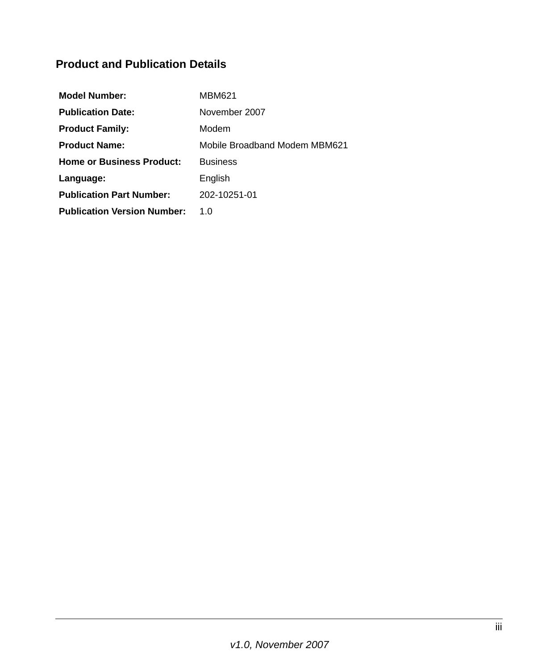#### **Product and Publication Details**

| Model Number:                      | MBM621                        |
|------------------------------------|-------------------------------|
| <b>Publication Date:</b>           | November 2007                 |
| <b>Product Family:</b>             | Modem                         |
| <b>Product Name:</b>               | Mobile Broadband Modem MBM621 |
| <b>Home or Business Product:</b>   | <b>Business</b>               |
| Language:                          | English                       |
| <b>Publication Part Number:</b>    | 202-10251-01                  |
| <b>Publication Version Number:</b> | 1.0                           |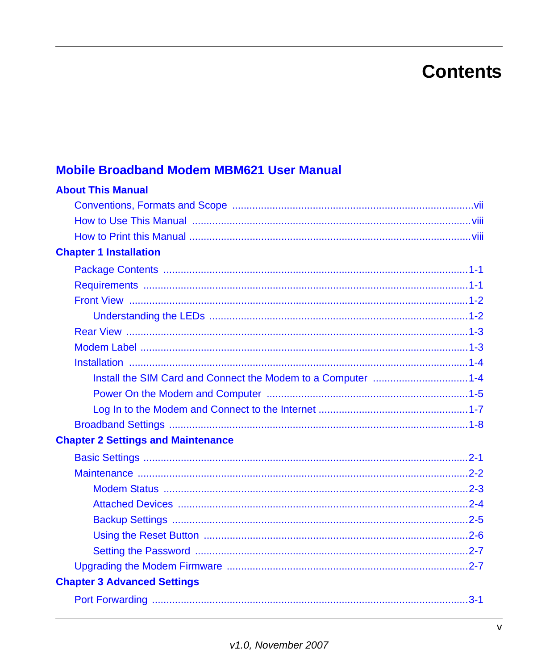## **Contents**

#### **Mobile Broadband Modem MBM621 User Manual**

| <b>About This Manual</b>                  |
|-------------------------------------------|
|                                           |
|                                           |
|                                           |
| <b>Chapter 1 Installation</b>             |
|                                           |
|                                           |
|                                           |
|                                           |
|                                           |
|                                           |
|                                           |
|                                           |
|                                           |
|                                           |
|                                           |
|                                           |
| <b>Chapter 2 Settings and Maintenance</b> |
|                                           |
|                                           |
|                                           |
|                                           |
|                                           |
|                                           |
|                                           |
|                                           |
| <b>Chapter 3 Advanced Settings</b>        |
|                                           |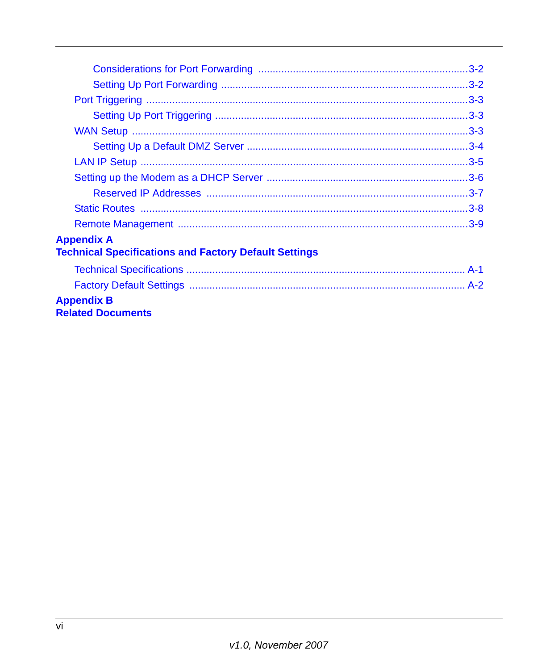| <b>Appendix A</b><br><b>Technical Specifications and Factory Default Settings</b> |  |
|-----------------------------------------------------------------------------------|--|
|                                                                                   |  |
|                                                                                   |  |
| <b>Appendix B</b><br><b>Related Documents</b>                                     |  |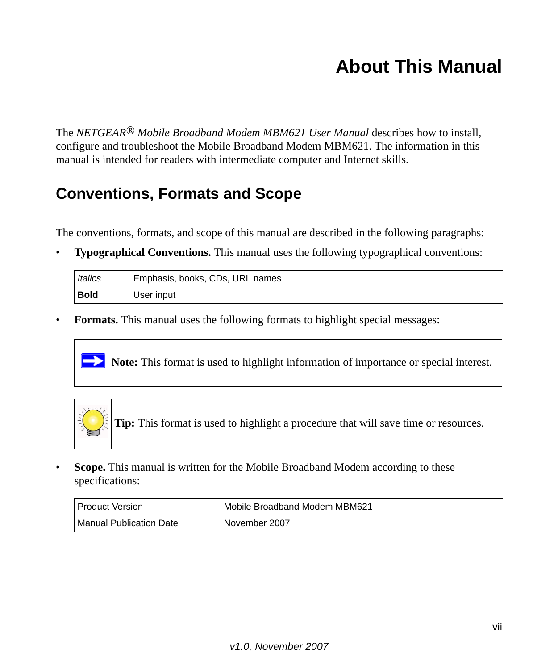# **About This Manual**

<span id="page-6-0"></span>The *NETGEAR® Mobile Broadband Modem MBM621 User Manual* describes how to install, configure and troubleshoot the Mobile Broadband Modem MBM621. The information in this manual is intended for readers with intermediate computer and Internet skills.

### <span id="page-6-1"></span>**Conventions, Formats and Scope**

The conventions, formats, and scope of this manual are described in the following paragraphs:

• **Typographical Conventions.** This manual uses the following typographical conventions:

| <b>Italics</b> | Emphasis, books, CDs, URL names |
|----------------|---------------------------------|
| l Bold         | User input                      |

• **Formats.** This manual uses the following formats to highlight special messages:





**Tip:** This format is used to highlight a procedure that will save time or resources.

• **Scope.** This manual is written for the Mobile Broadband Modem according to these specifications:

| <b>Product Version</b>         | Mobile Broadband Modem MBM621 |
|--------------------------------|-------------------------------|
| <b>Manual Publication Date</b> | l November 2007               |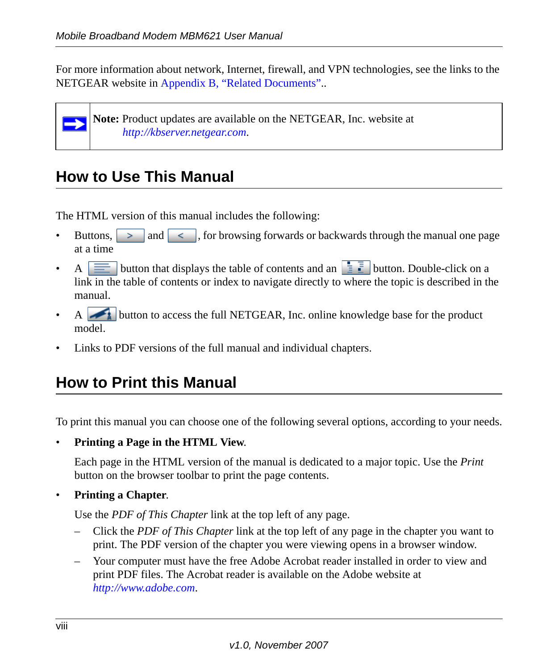For more information about network, Internet, firewall, and VPN technologies, see the links to the NETGEAR website in Appendix [B, "Related Documents".](#page-38-1).



**Note:** Product updates are available on the NETGEAR, Inc. website at *<http://kbserver.netgear.com>*.

### <span id="page-7-0"></span>**How to Use This Manual**

The HTML version of this manual includes the following:

- Buttons,  $\vert$  >  $\vert$  and  $\vert$  <  $\vert$ , for browsing forwards or backwards through the manual one page at a time
- A  $\equiv$  button that displays the table of contents and an  $\equiv$  button. Double-click on a link in the table of contents or index to navigate directly to where the topic is described in the manual.
- A button to access the full NETGEAR, Inc. online knowledge base for the product model.
- Links to PDF versions of the full manual and individual chapters.

### <span id="page-7-1"></span>**How to Print this Manual**

To print this manual you can choose one of the following several options, according to your needs.

• **Printing a Page in the HTML View**.

Each page in the HTML version of the manual is dedicated to a major topic. Use the *Print* button on the browser toolbar to print the page contents.

• **Printing a Chapter**.

Use the *PDF of This Chapter* link at the top left of any page.

- Click the *PDF of This Chapter* link at the top left of any page in the chapter you want to print. The PDF version of the chapter you were viewing opens in a browser window.
- Your computer must have the free Adobe Acrobat reader installed in order to view and print PDF files. The Acrobat reader is available on the Adobe website at *<http://www.adobe.com>*.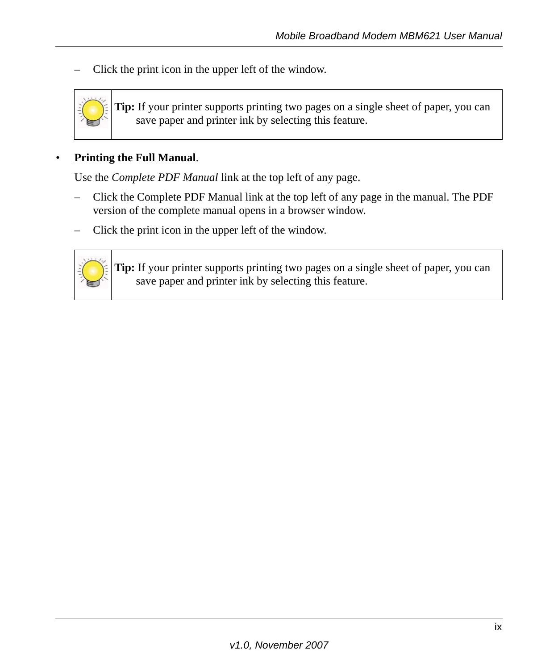– Click the print icon in the upper left of the window.



**Tip:** If your printer supports printing two pages on a single sheet of paper, you can save paper and printer ink by selecting this feature.

#### • **Printing the Full Manual**.

Use the *Complete PDF Manual* link at the top left of any page.

- Click the Complete PDF Manual link at the top left of any page in the manual. The PDF version of the complete manual opens in a browser window.
- Click the print icon in the upper left of the window.



**Tip:** If your printer supports printing two pages on a single sheet of paper, you can save paper and printer ink by selecting this feature.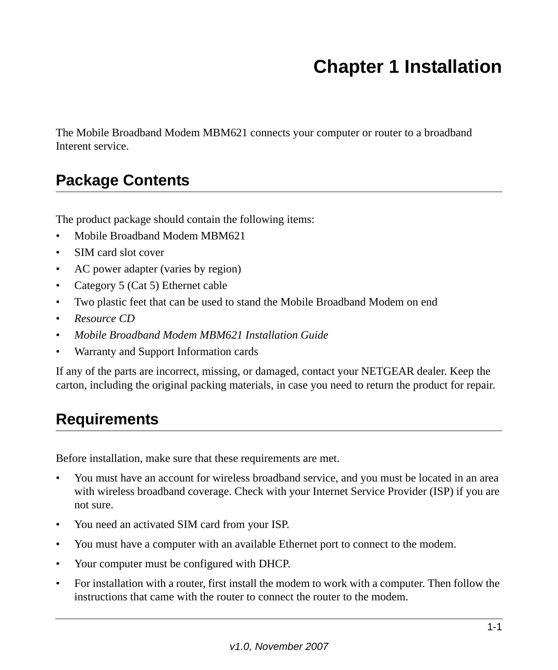# **Chapter 1 Installation**

<span id="page-10-0"></span>The Mobile Broadband Modem MBM621 connects your computer or router to a broadband Interent service.

### <span id="page-10-1"></span>**Package Contents**

The product package should contain the following items:

- Mobile Broadband Modem MBM621
- SIM card slot cover
- AC power adapter (varies by region)
- Category 5 (Cat 5) Ethernet cable
- Two plastic feet that can be used to stand the Mobile Broadband Modem on end
- *Resource CD*
- *Mobile Broadband Modem MBM621 Installation Guide*
- Warranty and Support Information cards

If any of the parts are incorrect, missing, or damaged, contact your NETGEAR dealer. Keep the carton, including the original packing materials, in case you need to return the product for repair.

### <span id="page-10-2"></span>**Requirements**

Before installation, make sure that these requirements are met.

- You must have an account for wireless broadband service, and you must be located in an area with wireless broadband coverage. Check with your Internet Service Provider (ISP) if you are not sure.
- You need an activated SIM card from your ISP.
- You must have a computer with an available Ethernet port to connect to the modem.
- Your computer must be configured with DHCP.
- For installation with a router, first install the modem to work with a computer. Then follow the instructions that came with the router to connect the router to the modem.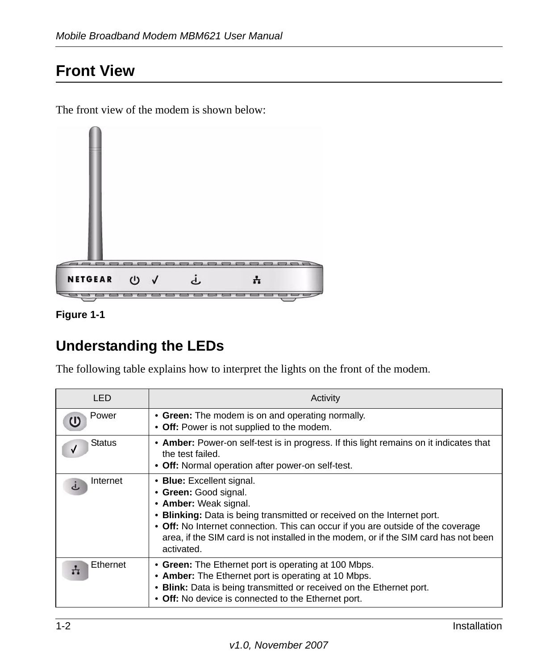### <span id="page-11-0"></span>**Front View**

The front view of the modem is shown below:



**Figure 1-1**

### <span id="page-11-1"></span>**Understanding the LEDs**

The following table explains how to interpret the lights on the front of the modem.

| LED           | Activity                                                                                                                                                                                                                                                                                                                                         |
|---------------|--------------------------------------------------------------------------------------------------------------------------------------------------------------------------------------------------------------------------------------------------------------------------------------------------------------------------------------------------|
| Power         | • Green: The modem is on and operating normally.<br>• Off: Power is not supplied to the modem.                                                                                                                                                                                                                                                   |
| <b>Status</b> | • Amber: Power-on self-test is in progress. If this light remains on it indicates that<br>the test failed.<br>• Off: Normal operation after power-on self-test.                                                                                                                                                                                  |
| Internet      | • Blue: Excellent signal.<br>• Green: Good signal.<br>• Amber: Weak signal.<br>• Blinking: Data is being transmitted or received on the Internet port.<br>• Off: No Internet connection. This can occur if you are outside of the coverage<br>area, if the SIM card is not installed in the modem, or if the SIM card has not been<br>activated. |
| Ethernet      | • Green: The Ethernet port is operating at 100 Mbps.<br>• Amber: The Ethernet port is operating at 10 Mbps.<br>• Blink: Data is being transmitted or received on the Ethernet port.<br>• Off: No device is connected to the Ethernet port.                                                                                                       |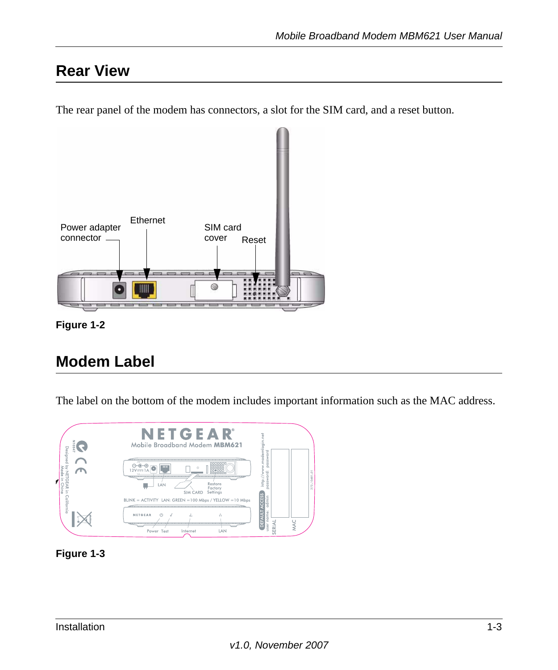### <span id="page-12-0"></span>**Rear View**

The rear panel of the modem has connectors, a slot for the SIM card, and a reset button.



**Figure 1-2**

### <span id="page-12-1"></span>**Modem Label**

The label on the bottom of the modem includes important information such as the MAC address.



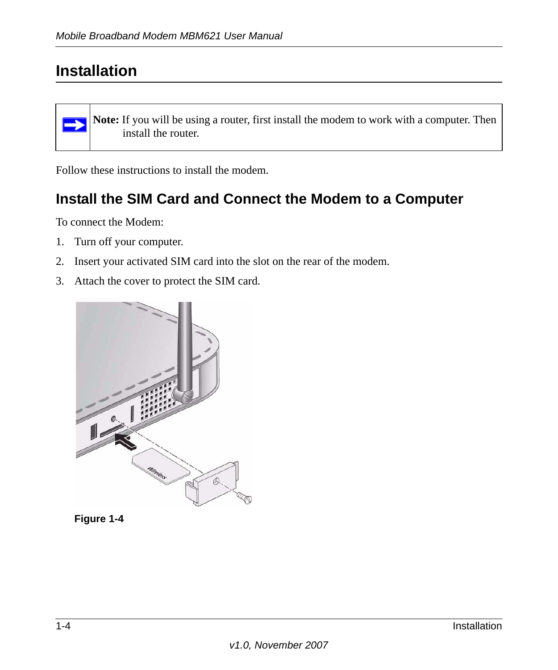### <span id="page-13-0"></span>**Installation**

**Note:** If you will be using a router, first install the modem to work with a computer. Then install the router.

Follow these instructions to install the modem.

### <span id="page-13-1"></span>**Install the SIM Card and Connect the Modem to a Computer**

To connect the Modem:

- 1. Turn off your computer.
- 2. Insert your activated SIM card into the slot on the rear of the modem.
- 3. Attach the cover to protect the SIM card.



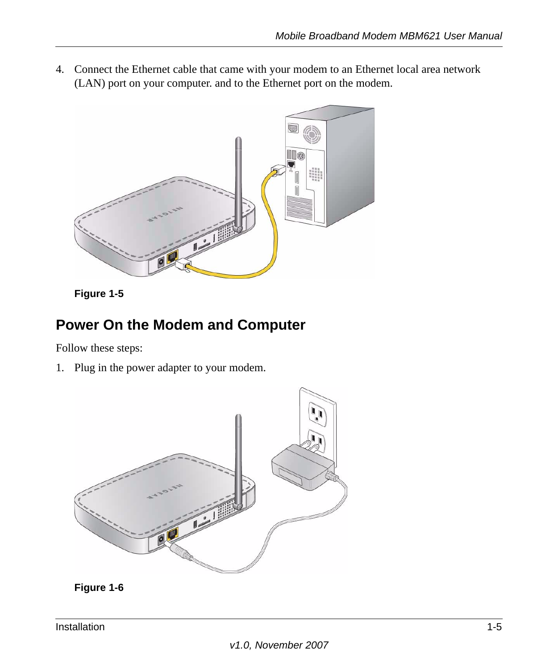4. Connect the Ethernet cable that came with your modem to an Ethernet local area network (LAN) port on your computer. and to the Ethernet port on the modem.





### <span id="page-14-0"></span>**Power On the Modem and Computer**

Follow these steps:

1. Plug in the power adapter to your modem.



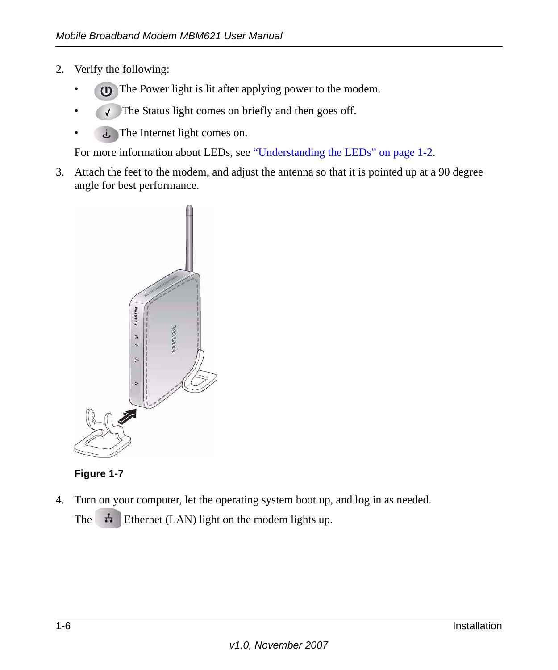- 2. Verify the following:
	- The Power light is lit after applying power to the modem.
	- The Status light comes on briefly and then goes off.
	- The Internet light comes on.

For more information about LEDs, see ["Understanding the LEDs" on page](#page-11-1) 1-2.

3. Attach the feet to the modem, and adjust the antenna so that it is pointed up at a 90 degree angle for best performance.





4. Turn on your computer, let the operating system boot up, and log in as needed.

The  $\vec{\tau}$  Ethernet (LAN) light on the modem lights up.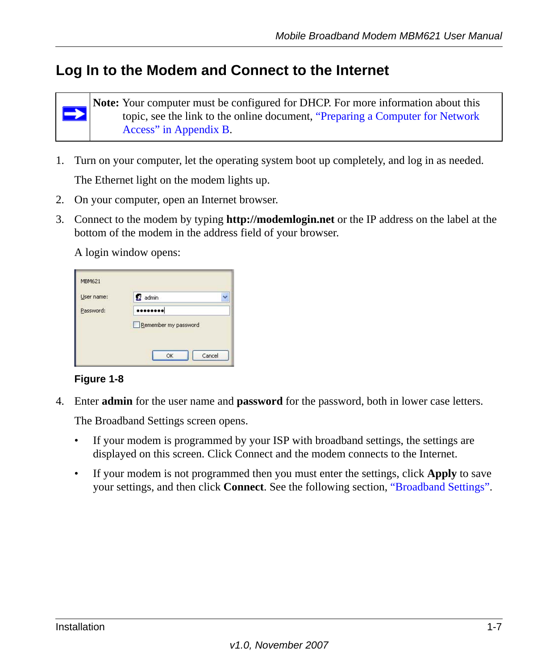### <span id="page-16-0"></span>**Log In to the Modem and Connect to the Internet**



**Note:** Your computer must be configured for DHCP. For more information about this topic, see the link to the online document, ["Preparing a Computer for Network](#page-38-2)  [Access" in Appendix](#page-38-2) B.

1. Turn on your computer, let the operating system boot up completely, and log in as needed.

The Ethernet light on the modem lights up.

- 2. On your computer, open an Internet browser.
- 3. Connect to the modem by typing **http://modemlogin.net** or the IP address on the label at the bottom of the modem in the address field of your browser.

A login window opens:

| <b>MBM621</b> |                      |
|---------------|----------------------|
| User name:    | 23 admin             |
| Password:     |                      |
|               | Remember my password |
|               | Cancel<br>OK         |

**Figure 1-8**

4. Enter **admin** for the user name and **password** for the password, both in lower case letters.

The Broadband Settings screen opens.

- If your modem is programmed by your ISP with broadband settings, the settings are displayed on this screen. Click Connect and the modem connects to the Internet.
- If your modem is not programmed then you must enter the settings, click **Apply** to save your settings, and then click **Connect**. See the following section, ["Broadband Settings".](#page-17-0)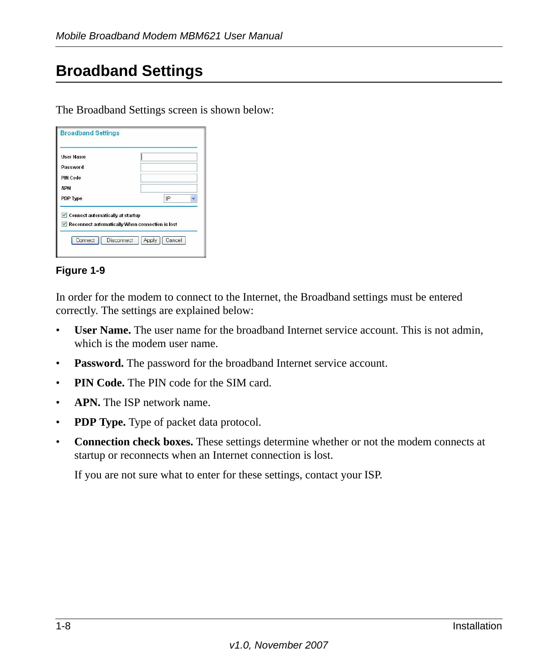### <span id="page-17-0"></span>**Broadband Settings**

The Broadband Settings screen is shown below:

| IP |  |
|----|--|
|    |  |

#### **Figure 1-9**

In order for the modem to connect to the Internet, the Broadband settings must be entered correctly. The settings are explained below:

- **User Name.** The user name for the broadband Internet service account. This is not admin, which is the modem user name.
- **Password.** The password for the broadband Internet service account.
- **PIN Code.** The PIN code for the SIM card.
- **APN.** The ISP network name.
- **PDP Type.** Type of packet data protocol.
- **Connection check boxes.** These settings determine whether or not the modem connects at startup or reconnects when an Internet connection is lost.

If you are not sure what to enter for these settings, contact your ISP.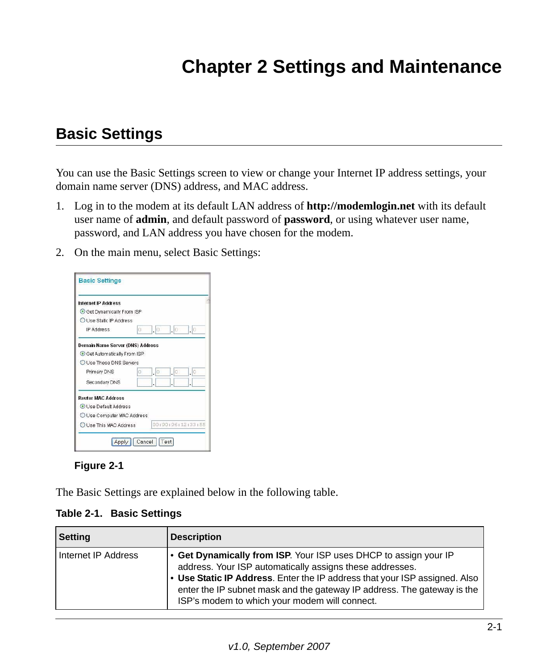## **Chapter 2 Settings and Maintenance**

### <span id="page-18-1"></span><span id="page-18-0"></span>**Basic Settings**

You can use the Basic Settings screen to view or change your Internet IP address settings, your domain name server (DNS) address, and MAC address.

- 1. Log in to the modem at its default LAN address of **http://modemlogin.net** with its default user name of **admin**, and default password of **password**, or using whatever user name, password, and LAN address you have chosen for the modem.
- 2. On the main menu, select Basic Settings:

| <b>Internet IP Address</b>       |                        |                      |                                       |                       |
|----------------------------------|------------------------|----------------------|---------------------------------------|-----------------------|
| ● Get Dynamically From ISP       |                        |                      |                                       |                       |
| Use Static IP Address            |                        |                      |                                       |                       |
| IP Address                       | 0                      | $\cdot$ <sup>0</sup> | $\cdot$ 0                             | $\cdot$ <sub>10</sub> |
| Domain Name Server (DNS) Address |                        |                      |                                       |                       |
| ● Get Automatically From ISP     |                        |                      |                                       |                       |
| Use These DNS Servers            |                        |                      |                                       |                       |
| Primary DNS                      | α                      | ن ان                 | $\cdot$ <sup><math>\circ</math></sup> | $\cdot$ <sub>10</sub> |
| Secondary DNS                    |                        |                      | ï                                     |                       |
| <b>Router MAC Address</b>        |                        |                      |                                       |                       |
| Use Default Address              |                        |                      |                                       |                       |
| O Use Computer MAC Address       |                        |                      |                                       |                       |
|                                  | O Use This MAC Address |                      |                                       | 00:90:96:12:33:55     |



The Basic Settings are explained below in the following table.

| <b>Setting</b>      | <b>Description</b>                                                                                                                                                                                                                                                                                                                     |
|---------------------|----------------------------------------------------------------------------------------------------------------------------------------------------------------------------------------------------------------------------------------------------------------------------------------------------------------------------------------|
| Internet IP Address | • Get Dynamically from ISP. Your ISP uses DHCP to assign your IP<br>address. Your ISP automatically assigns these addresses.<br>• Use Static IP Address. Enter the IP address that your ISP assigned. Also<br>enter the IP subnet mask and the gateway IP address. The gateway is the<br>ISP's modem to which your modem will connect. |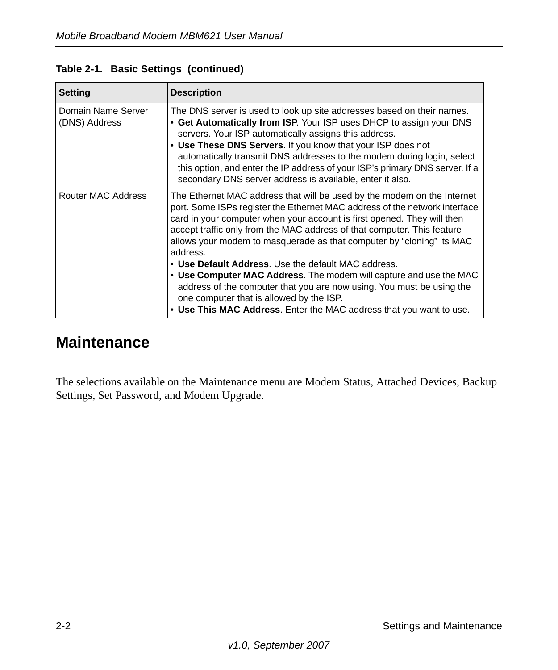| <b>Setting</b>                      | <b>Description</b>                                                                                                                                                                                                                                                                                                                                                                                                                                                                                                                                                                                                                                                                                                        |
|-------------------------------------|---------------------------------------------------------------------------------------------------------------------------------------------------------------------------------------------------------------------------------------------------------------------------------------------------------------------------------------------------------------------------------------------------------------------------------------------------------------------------------------------------------------------------------------------------------------------------------------------------------------------------------------------------------------------------------------------------------------------------|
| Domain Name Server<br>(DNS) Address | The DNS server is used to look up site addresses based on their names.<br>• Get Automatically from ISP. Your ISP uses DHCP to assign your DNS<br>servers. Your ISP automatically assigns this address.<br>• Use These DNS Servers. If you know that your ISP does not<br>automatically transmit DNS addresses to the modem during login, select<br>this option, and enter the IP address of your ISP's primary DNS server. If a<br>secondary DNS server address is available, enter it also.                                                                                                                                                                                                                              |
| Router MAC Address                  | The Ethernet MAC address that will be used by the modem on the Internet<br>port. Some ISPs register the Ethernet MAC address of the network interface<br>card in your computer when your account is first opened. They will then<br>accept traffic only from the MAC address of that computer. This feature<br>allows your modem to masquerade as that computer by "cloning" its MAC<br>address.<br>• Use Default Address. Use the default MAC address.<br>• Use Computer MAC Address. The modem will capture and use the MAC<br>address of the computer that you are now using. You must be using the<br>one computer that is allowed by the ISP.<br>. Use This MAC Address. Enter the MAC address that you want to use. |

#### **Table 2-1. Basic Settings (continued)**

### <span id="page-19-0"></span>**Maintenance**

The selections available on the Maintenance menu are Modem Status, Attached Devices, Backup Settings, Set Password, and Modem Upgrade.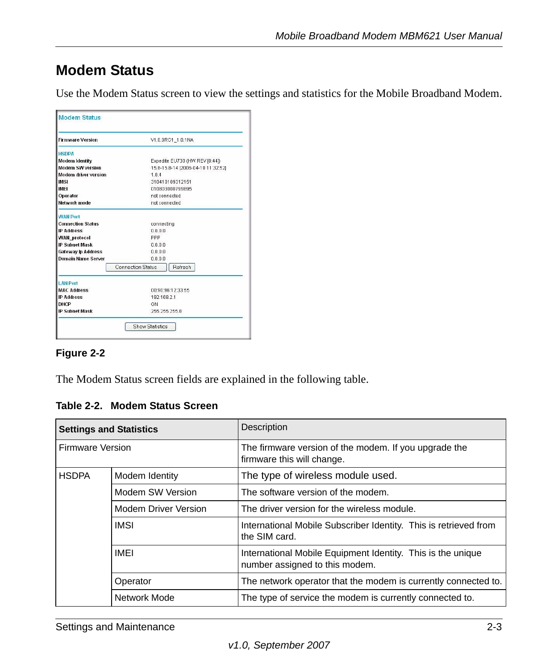### <span id="page-20-0"></span>**Modem Status**

Use the Modem Status screen to view the settings and statistics for the Mobile Broadband Modem.

| <b>Firmware Version</b>     | V1.0.0RC1 1.0.1NA                   |
|-----------------------------|-------------------------------------|
| <b>HSDPA</b>                |                                     |
| <b>Modem Identity</b>       | Expedite EU730 (HW REV [0:44])      |
| Modem SW version            | 15.8-15.8-14 [2006-04-10 11:32:52]  |
| <b>Modem driver version</b> | 1.0.4                               |
| <b>IMSI</b>                 | 310410109312151                     |
| <b>IMEI</b>                 | 010803000799895                     |
| Operator                    | not connected                       |
| <b>Network mode</b>         | not connected                       |
| <b>WAN Port</b>             |                                     |
| <b>Connection Status</b>    | connecting                          |
| <b>IP Address</b>           | 0.0.0.0                             |
| <b>WAN protocol</b>         | PPP                                 |
| <b>IP Subnet Mask</b>       | 0.0.0.0                             |
| <b>Gateway Ip Address</b>   | 0.0.0.0                             |
| Domain Name Server          | 0.0.0.0                             |
|                             | <b>Connection Status</b><br>Refresh |
| <b>LAN Port</b>             |                                     |
| <b>MAC Address</b>          | 00:90:96:12:33:55                   |
| <b>IP Address</b>           | 192.168.2.1                         |
| <b>DHCP</b>                 | ON                                  |
| <b>IP Subnet Mask</b>       | 255 255 255 0                       |

#### **Figure 2-2**

The Modem Status screen fields are explained in the following table.

#### **Table 2-2. Modem Status Screen**

|                         | <b>Settings and Statistics</b> | Description                                                                                   |
|-------------------------|--------------------------------|-----------------------------------------------------------------------------------------------|
| <b>Firmware Version</b> |                                | The firmware version of the modem. If you upgrade the<br>firmware this will change.           |
| <b>HSDPA</b>            | Modem Identity                 | The type of wireless module used.                                                             |
|                         | Modem SW Version               | The software version of the modem.                                                            |
|                         | Modem Driver Version           | The driver version for the wireless module.                                                   |
|                         | <b>IMSI</b>                    | International Mobile Subscriber Identity. This is retrieved from<br>the SIM card.             |
|                         | <b>IMEI</b>                    | International Mobile Equipment Identity. This is the unique<br>number assigned to this modem. |
|                         | Operator                       | The network operator that the modem is currently connected to.                                |
|                         | Network Mode                   | The type of service the modem is currently connected to.                                      |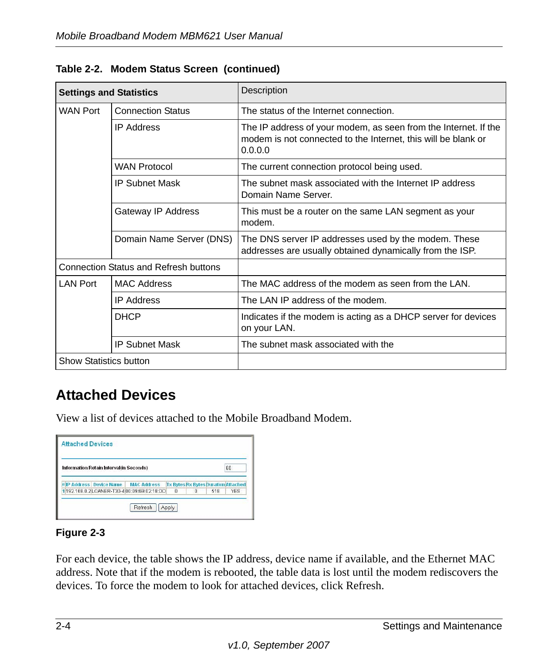| <b>Settings and Statistics</b> |                                              | Description                                                                                                                                 |
|--------------------------------|----------------------------------------------|---------------------------------------------------------------------------------------------------------------------------------------------|
| WAN Port                       | <b>Connection Status</b>                     | The status of the Internet connection.                                                                                                      |
|                                | <b>IP Address</b>                            | The IP address of your modem, as seen from the Internet. If the<br>modem is not connected to the Internet, this will be blank or<br>0.0.0.0 |
|                                | <b>WAN Protocol</b>                          | The current connection protocol being used.                                                                                                 |
|                                | <b>IP Subnet Mask</b>                        | The subnet mask associated with the Internet IP address<br>Domain Name Server.                                                              |
|                                | Gateway IP Address                           | This must be a router on the same LAN segment as your<br>modem.                                                                             |
|                                | Domain Name Server (DNS)                     | The DNS server IP addresses used by the modem. These<br>addresses are usually obtained dynamically from the ISP.                            |
|                                | <b>Connection Status and Refresh buttons</b> |                                                                                                                                             |
| LAN Port                       | <b>MAC Address</b>                           | The MAC address of the modem as seen from the LAN.                                                                                          |
|                                | <b>IP Address</b>                            | The LAN IP address of the modem.                                                                                                            |
|                                | <b>DHCP</b>                                  | Indicates if the modem is acting as a DHCP server for devices<br>on your LAN.                                                               |
|                                | <b>IP Subnet Mask</b>                        | The subnet mask associated with the                                                                                                         |
| <b>Show Statistics button</b>  |                                              |                                                                                                                                             |

#### **Table 2-2. Modem Status Screen (continued)**

### <span id="page-21-0"></span>**Attached Devices**

View a list of devices attached to the Mobile Broadband Modem.

| Information Retain Interval(in Seconds) |                                           |                                            |   |     | 60         |
|-----------------------------------------|-------------------------------------------|--------------------------------------------|---|-----|------------|
| # IP Address Device Name                | <b>MAC Address</b>                        | <b>Tx Bytes Rx Bytes Duration Attached</b> |   |     |            |
|                                         | 1192.168.0.2LOANER-T30-400.09:6B:02:18:DD | 0                                          | 0 | 518 | <b>YES</b> |

#### **Figure 2-3**

For each device, the table shows the IP address, device name if available, and the Ethernet MAC address. Note that if the modem is rebooted, the table data is lost until the modem rediscovers the devices. To force the modem to look for attached devices, click Refresh.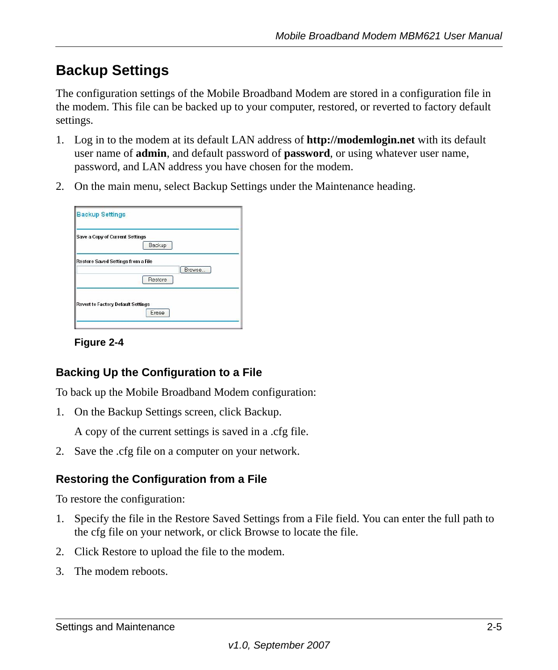### <span id="page-22-0"></span>**Backup Settings**

The configuration settings of the Mobile Broadband Modem are stored in a configuration file in the modem. This file can be backed up to your computer, restored, or reverted to factory default settings.

- 1. Log in to the modem at its default LAN address of **http://modemlogin.net** with its default user name of **admin**, and default password of **password**, or using whatever user name, password, and LAN address you have chosen for the modem.
- 2. On the main menu, select Backup Settings under the Maintenance heading.

| Save a Copy of Current Settings           |         |  |
|-------------------------------------------|---------|--|
|                                           | Backup  |  |
| Restore Saved Settings from a File        |         |  |
|                                           | Browse  |  |
|                                           | Restore |  |
|                                           |         |  |
| <b>Revert to Factory Default Settings</b> |         |  |
|                                           | Erase   |  |

**Figure 2-4**

#### **Backing Up the Configuration to a File**

To back up the Mobile Broadband Modem configuration:

1. On the Backup Settings screen, click Backup.

A copy of the current settings is saved in a .cfg file.

2. Save the .cfg file on a computer on your network.

#### **Restoring the Configuration from a File**

To restore the configuration:

- 1. Specify the file in the Restore Saved Settings from a File field. You can enter the full path to the cfg file on your network, or click Browse to locate the file.
- 2. Click Restore to upload the file to the modem.
- 3. The modem reboots.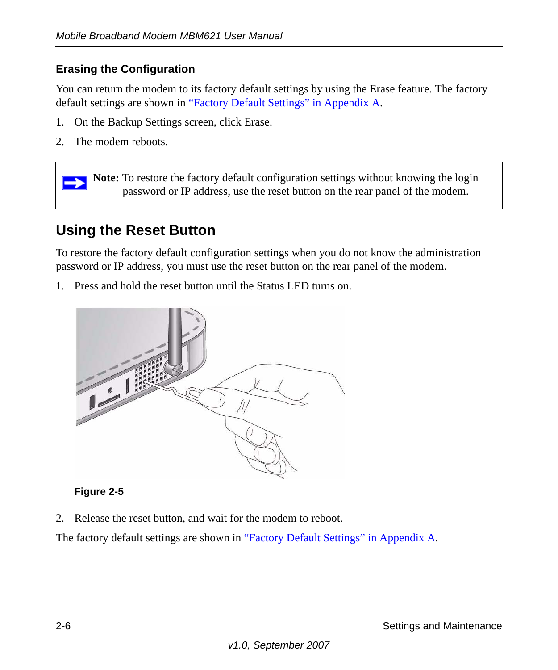#### **Erasing the Configuration**

You can return the modem to its factory default settings by using the Erase feature. The factory default settings are shown in ["Factory Default Settings" in Appendix](#page-37-1) A.

- 1. On the Backup Settings screen, click Erase.
- 2. The modem reboots.

**Note:** To restore the factory default configuration settings without knowing the login password or IP address, use the reset button on the rear panel of the modem.

### <span id="page-23-0"></span>**Using the Reset Button**

To restore the factory default configuration settings when you do not know the administration password or IP address, you must use the reset button on the rear panel of the modem.

1. Press and hold the reset button until the Status LED turns on.



#### **Figure 2-5**

2. Release the reset button, and wait for the modem to reboot.

The factory default settings are shown in ["Factory Default Settings" in Appendix](#page-37-1) A.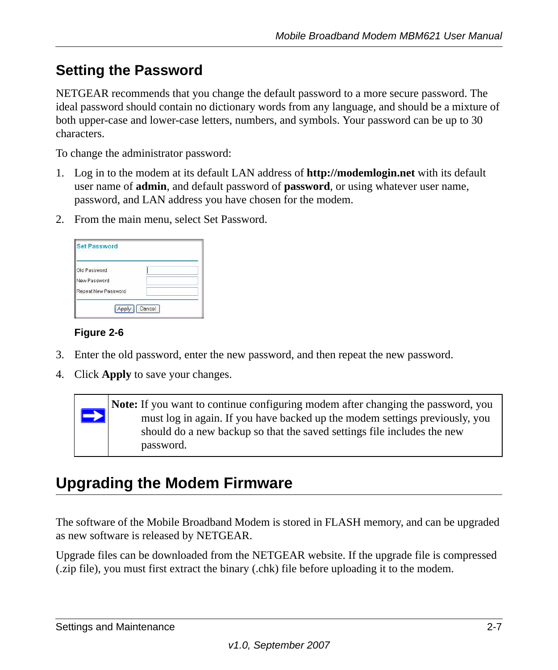### <span id="page-24-0"></span>**Setting the Password**

NETGEAR recommends that you change the default password to a more secure password. The ideal password should contain no dictionary words from any language, and should be a mixture of both upper-case and lower-case letters, numbers, and symbols. Your password can be up to 30 characters.

To change the administrator password:

- 1. Log in to the modem at its default LAN address of **http://modemlogin.net** with its default user name of **admin**, and default password of **password**, or using whatever user name, password, and LAN address you have chosen for the modem.
- 2. From the main menu, select Set Password.

| Old Password        |  |
|---------------------|--|
| New Password        |  |
| Repeat New Password |  |

#### **Figure 2-6**

- 3. Enter the old password, enter the new password, and then repeat the new password.
- 4. Click **Apply** to save your changes.



### <span id="page-24-1"></span>**Upgrading the Modem Firmware**

The software of the Mobile Broadband Modem is stored in FLASH memory, and can be upgraded as new software is released by NETGEAR.

Upgrade files can be downloaded from the NETGEAR website. If the upgrade file is compressed (.zip file), you must first extract the binary (.chk) file before uploading it to the modem.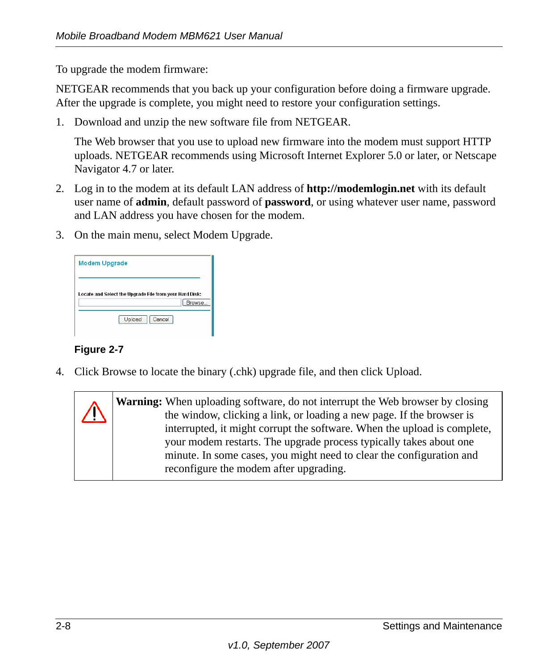To upgrade the modem firmware:

NETGEAR recommends that you back up your configuration before doing a firmware upgrade. After the upgrade is complete, you might need to restore your configuration settings.

1. Download and unzip the new software file from NETGEAR.

The Web browser that you use to upload new firmware into the modem must support HTTP uploads. NETGEAR recommends using Microsoft Internet Explorer 5.0 or later, or Netscape Navigator 4.7 or later.

- 2. Log in to the modem at its default LAN address of **http://modemlogin.net** with its default user name of **admin**, default password of **password**, or using whatever user name, password and LAN address you have chosen for the modem.
- 3. On the main menu, select Modem Upgrade.

| Locate and Select the Upgrade File from your Hard Disk: |        |  |
|---------------------------------------------------------|--------|--|
|                                                         | Browse |  |

#### **Figure 2-7**

4. Click Browse to locate the binary (.chk) upgrade file, and then click Upload.

| Λ   | <b>Warning:</b> When uploading software, do not interrupt the Web browser by closing |
|-----|--------------------------------------------------------------------------------------|
| /!` | the window, clicking a link, or loading a new page. If the browser is                |
|     | interrupted, it might corrupt the software. When the upload is complete,             |
|     | your modem restarts. The upgrade process typically takes about one                   |
|     | minute. In some cases, you might need to clear the configuration and                 |
|     | reconfigure the modem after upgrading.                                               |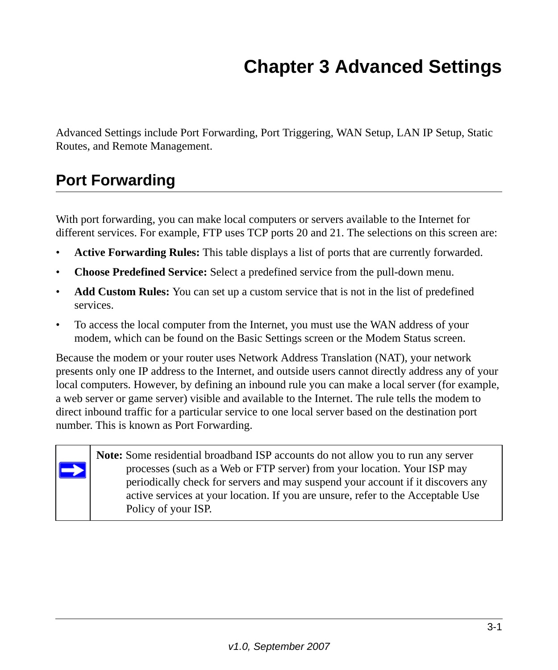# **Chapter 3 Advanced Settings**

<span id="page-26-0"></span>Advanced Settings include Port Forwarding, Port Triggering, WAN Setup, LAN IP Setup, Static Routes, and Remote Management.

### <span id="page-26-1"></span>**Port Forwarding**

 $\rightarrow$ 

With port forwarding, you can make local computers or servers available to the Internet for different services. For example, FTP uses TCP ports 20 and 21. The selections on this screen are:

- **Active Forwarding Rules:** This table displays a list of ports that are currently forwarded.
- **Choose Predefined Service:** Select a predefined service from the pull-down menu.
- **Add Custom Rules:** You can set up a custom service that is not in the list of predefined services.
- To access the local computer from the Internet, you must use the WAN address of your modem, which can be found on the Basic Settings screen or the Modem Status screen.

Because the modem or your router uses Network Address Translation (NAT), your network presents only one IP address to the Internet, and outside users cannot directly address any of your local computers. However, by defining an inbound rule you can make a local server (for example, a web server or game server) visible and available to the Internet. The rule tells the modem to direct inbound traffic for a particular service to one local server based on the destination port number. This is known as Port Forwarding.

**Note:** Some residential broadband ISP accounts do not allow you to run any server processes (such as a Web or FTP server) from your location. Your ISP may periodically check for servers and may suspend your account if it discovers any active services at your location. If you are unsure, refer to the Acceptable Use Policy of your ISP.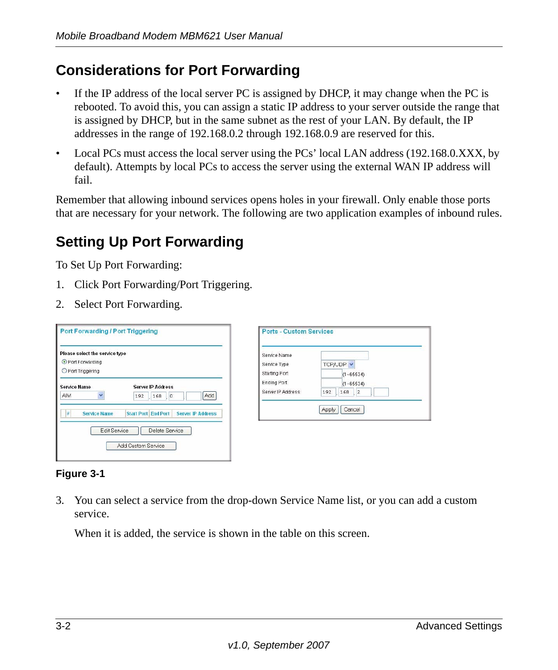### <span id="page-27-0"></span>**Considerations for Port Forwarding**

- If the IP address of the local server PC is assigned by DHCP, it may change when the PC is rebooted. To avoid this, you can assign a static IP address to your server outside the range that is assigned by DHCP, but in the same subnet as the rest of your LAN. By default, the IP addresses in the range of 192.168.0.2 through 192.168.0.9 are reserved for this.
- Local PCs must access the local server using the PCs' local LAN address (192.168.0.XXX, by default). Attempts by local PCs to access the server using the external WAN IP address will fail.

Remember that allowing inbound services opens holes in your firewall. Only enable those ports that are necessary for your network. The following are two application examples of inbound rules.

### <span id="page-27-1"></span>**Setting Up Port Forwarding**

To Set Up Port Forwarding:

- 1. Click Port Forwarding/Port Triggering.
- 2. Select Port Forwarding.

| Port Forwarding / Port Triggering                                                                                                                                  | <b>Ports - Custom Services</b>                                                                                                                                                                    |
|--------------------------------------------------------------------------------------------------------------------------------------------------------------------|---------------------------------------------------------------------------------------------------------------------------------------------------------------------------------------------------|
| Please select the service type<br>Port Forwarding<br><b>O</b> Port Triggering<br><b>Service Name</b><br><b>Server IP Address</b><br>Add<br>AIM<br>192<br>168<br> 0 | Service Name<br>TCP/UDP v<br>Service Type<br><b>Starting Port</b><br>$(1 - 65534)$<br><b>Ending Port</b><br>$(1 - 65534)$<br>Server IP Address<br>168<br>192<br>$\overline{z}$<br>Cancel<br>Apply |
| <b>Start Port End Port</b><br><b>Server IP Address</b><br><b>Service Name</b><br>lж<br>Edit Service<br>Delete Service<br>Add Custom Service                        |                                                                                                                                                                                                   |

#### **Figure 3-1**

3. You can select a service from the drop-down Service Name list, or you can add a custom service.

When it is added, the service is shown in the table on this screen.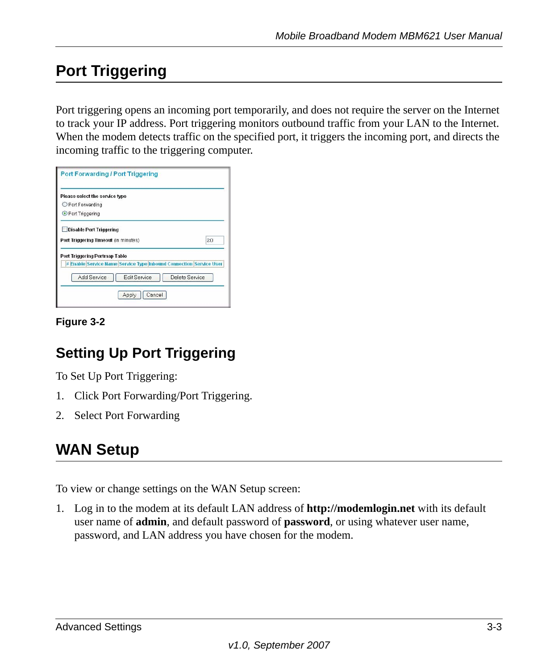### <span id="page-28-0"></span>**Port Triggering**

Port triggering opens an incoming port temporarily, and does not require the server on the Internet to track your IP address. Port triggering monitors outbound traffic from your LAN to the Internet. When the modem detects traffic on the specified port, it triggers the incoming port, and directs the incoming traffic to the triggering computer.

| Port Forwarding                                                                                     |  |
|-----------------------------------------------------------------------------------------------------|--|
| Port Triggering                                                                                     |  |
|                                                                                                     |  |
| Port Triggering Portmap Table<br># Enable Service Name Service Type Inbound Connection Service User |  |

**Figure 3-2**

### <span id="page-28-1"></span>**Setting Up Port Triggering**

To Set Up Port Triggering:

- 1. Click Port Forwarding/Port Triggering.
- 2. Select Port Forwarding

### <span id="page-28-2"></span>**WAN Setup**

To view or change settings on the WAN Setup screen:

1. Log in to the modem at its default LAN address of **http://modemlogin.net** with its default user name of **admin**, and default password of **password**, or using whatever user name, password, and LAN address you have chosen for the modem.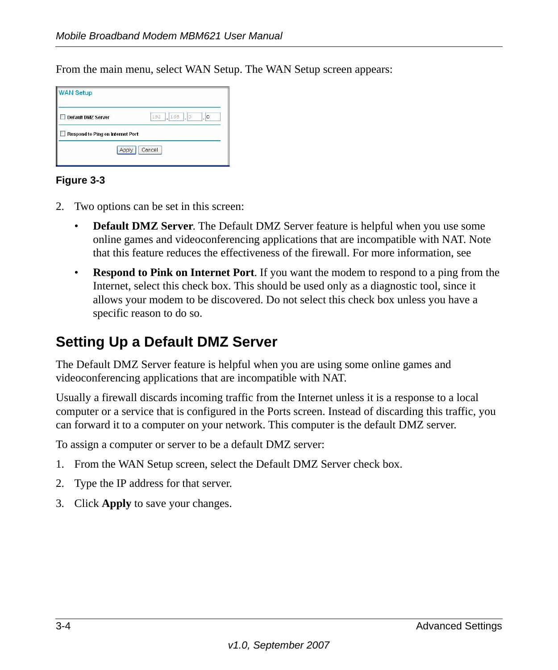From the main menu, select WAN Setup. The WAN Setup screen appears:

| <b>WAN Setup</b>                 |                         |
|----------------------------------|-------------------------|
| <b>Default DMZ Server</b>        | 192<br>1168<br>٥.<br>i. |
| Respond to Ping on Internet Port |                         |
| Apply                            | Cancel                  |

#### **Figure 3-3**

- 2. Two options can be set in this screen:
	- **Default DMZ Server**. The Default DMZ Server feature is helpful when you use some online games and videoconferencing applications that are incompatible with NAT. Note that this feature reduces the effectiveness of the firewall. For more information, see
	- **Respond to Pink on Internet Port.** If you want the modem to respond to a ping from the Internet, select this check box. This should be used only as a diagnostic tool, since it allows your modem to be discovered. Do not select this check box unless you have a specific reason to do so.

### <span id="page-29-0"></span>**Setting Up a Default DMZ Server**

The Default DMZ Server feature is helpful when you are using some online games and videoconferencing applications that are incompatible with NAT.

Usually a firewall discards incoming traffic from the Internet unless it is a response to a local computer or a service that is configured in the Ports screen. Instead of discarding this traffic, you can forward it to a computer on your network. This computer is the default DMZ server.

To assign a computer or server to be a default DMZ server:

- 1. From the WAN Setup screen, select the Default DMZ Server check box.
- 2. Type the IP address for that server.
- 3. Click **Apply** to save your changes.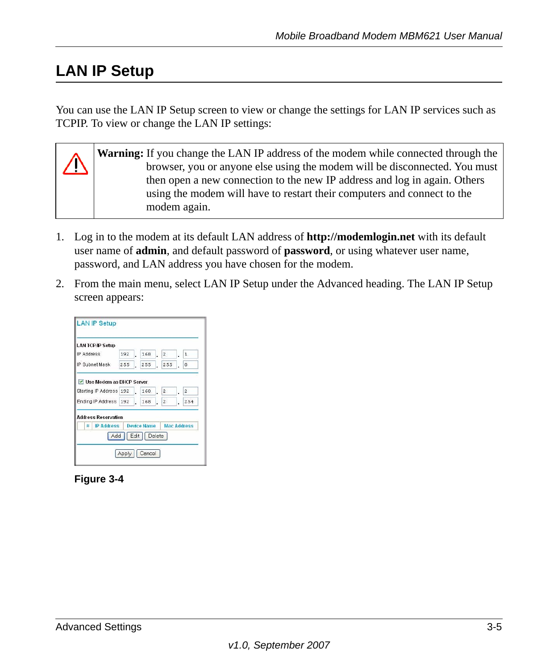### <span id="page-30-0"></span>**LAN IP Setup**

You can use the LAN IP Setup screen to view or change the settings for LAN IP services such as TCPIP. To view or change the LAN IP settings:

|             | <b>Warning:</b> If you change the LAN IP address of the modem while connected through the |
|-------------|-------------------------------------------------------------------------------------------|
| $\bigwedge$ | browser, you or anyone else using the modem will be disconnected. You must                |
|             | then open a new connection to the new IP address and log in again. Others                 |
|             | using the modem will have to restart their computers and connect to the                   |
|             | modem again.                                                                              |
|             |                                                                                           |

- 1. Log in to the modem at its default LAN address of **http://modemlogin.net** with its default user name of **admin**, and default password of **password**, or using whatever user name, password, and LAN address you have chosen for the modem.
- 2. From the main menu, select LAN IP Setup under the Advanced heading. The LAN IP Setup screen appears:

| <b>LAN TCP/IP Setup</b>    |     |                    |    |                |    |                    |
|----------------------------|-----|--------------------|----|----------------|----|--------------------|
| IP Address                 | 192 | 168                | l, | 2              |    | $\mathbf 1$        |
| IP Subnet Mask             | 255 | 255                |    | 255            |    | O                  |
| Ending IP Address          | 192 | 168                | l  | $\overline{a}$ | l, | 254                |
| <b>Address Reservation</b> |     |                    |    |                |    |                    |
| <b>IP Address</b><br>#.    |     | <b>Device Name</b> |    |                |    | <b>Mac Address</b> |

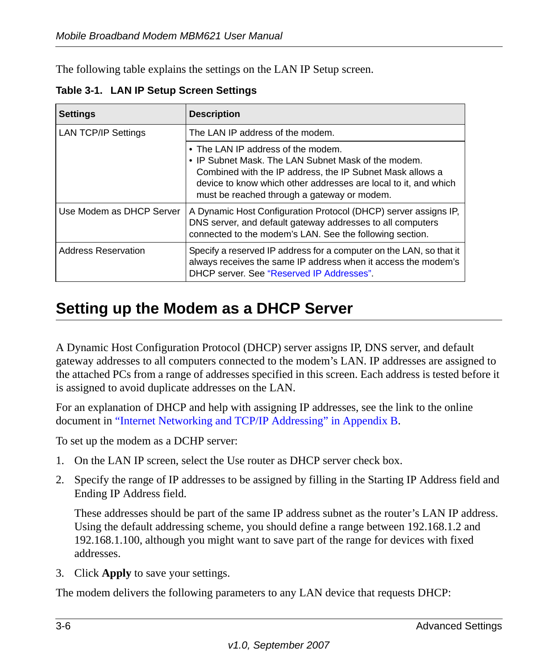The following table explains the settings on the LAN IP Setup screen.

| <b>Settings</b>            | <b>Description</b>                                                                                                                                                                                                                                                       |
|----------------------------|--------------------------------------------------------------------------------------------------------------------------------------------------------------------------------------------------------------------------------------------------------------------------|
| <b>LAN TCP/IP Settings</b> | The LAN IP address of the modem.                                                                                                                                                                                                                                         |
|                            | • The LAN IP address of the modem.<br>• IP Subnet Mask. The LAN Subnet Mask of the modem.<br>Combined with the IP address, the IP Subnet Mask allows a<br>device to know which other addresses are local to it, and which<br>must be reached through a gateway or modem. |
| Use Modem as DHCP Server   | A Dynamic Host Configuration Protocol (DHCP) server assigns IP,<br>DNS server, and default gateway addresses to all computers<br>connected to the modem's LAN. See the following section.                                                                                |
| <b>Address Reservation</b> | Specify a reserved IP address for a computer on the LAN, so that it<br>always receives the same IP address when it access the modem's<br>DHCP server. See "Reserved IP Addresses".                                                                                       |

**Table 3-1. LAN IP Setup Screen Settings**

### <span id="page-31-0"></span>**Setting up the Modem as a DHCP Server**

A Dynamic Host Configuration Protocol (DHCP) server assigns IP, DNS server, and default gateway addresses to all computers connected to the modem's LAN. IP addresses are assigned to the attached PCs from a range of addresses specified in this screen. Each address is tested before it is assigned to avoid duplicate addresses on the LAN.

For an explanation of DHCP and help with assigning IP addresses, see the link to the online document in ["Internet Networking and TCP/IP Addressing" in Appendix](#page-38-3) B.

To set up the modem as a DCHP server:

- 1. On the LAN IP screen, select the Use router as DHCP server check box.
- 2. Specify the range of IP addresses to be assigned by filling in the Starting IP Address field and Ending IP Address field.

These addresses should be part of the same IP address subnet as the router's LAN IP address. Using the default addressing scheme, you should define a range between 192.168.1.2 and 192.168.1.100, although you might want to save part of the range for devices with fixed addresses.

3. Click **Apply** to save your settings.

The modem delivers the following parameters to any LAN device that requests DHCP: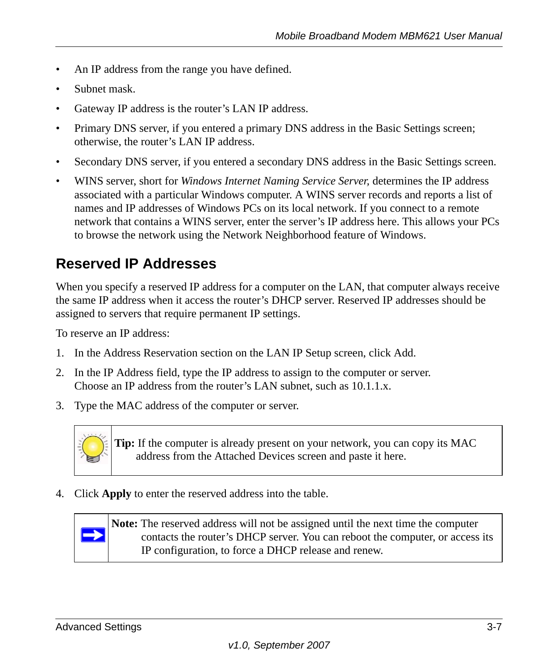- An IP address from the range you have defined.
- Subnet mask.
- Gateway IP address is the router's LAN IP address.
- Primary DNS server, if you entered a primary DNS address in the Basic Settings screen; otherwise, the router's LAN IP address.
- Secondary DNS server, if you entered a secondary DNS address in the Basic Settings screen.
- WINS server, short for *Windows Internet Naming Service Server,* determines the IP address associated with a particular Windows computer. A WINS server records and reports a list of names and IP addresses of Windows PCs on its local network. If you connect to a remote network that contains a WINS server, enter the server's IP address here. This allows your PCs to browse the network using the Network Neighborhood feature of Windows.

### <span id="page-32-0"></span>**Reserved IP Addresses**

When you specify a reserved IP address for a computer on the LAN, that computer always receive the same IP address when it access the router's DHCP server. Reserved IP addresses should be assigned to servers that require permanent IP settings.

To reserve an IP address:

- 1. In the Address Reservation section on the LAN IP Setup screen, click Add.
- 2. In the IP Address field, type the IP address to assign to the computer or server. Choose an IP address from the router's LAN subnet, such as 10.1.1.x.
- 3. Type the MAC address of the computer or server.



**Tip:** If the computer is already present on your network, you can copy its MAC address from the Attached Devices screen and paste it here.

4. Click **Apply** to enter the reserved address into the table.



**Note:** The reserved address will not be assigned until the next time the computer contacts the router's DHCP server. You can reboot the computer, or access its IP configuration, to force a DHCP release and renew.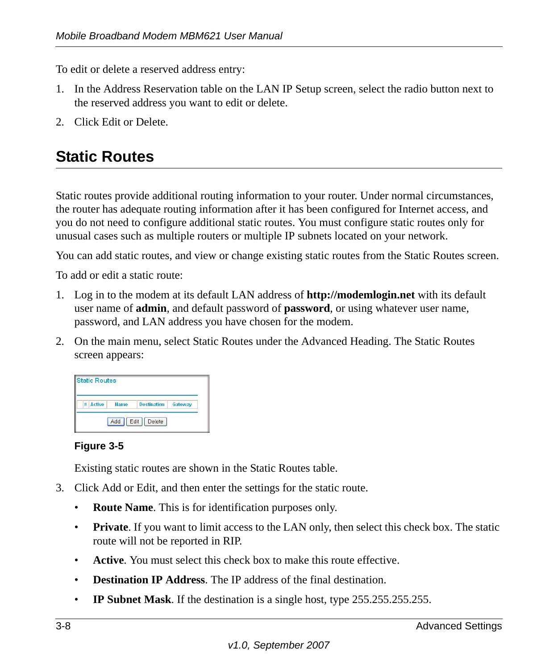To edit or delete a reserved address entry:

- 1. In the Address Reservation table on the LAN IP Setup screen, select the radio button next to the reserved address you want to edit or delete.
- 2. Click Edit or Delete.

### <span id="page-33-0"></span>**Static Routes**

Static routes provide additional routing information to your router. Under normal circumstances, the router has adequate routing information after it has been configured for Internet access, and you do not need to configure additional static routes. You must configure static routes only for unusual cases such as multiple routers or multiple IP subnets located on your network.

You can add static routes, and view or change existing static routes from the Static Routes screen.

To add or edit a static route:

- 1. Log in to the modem at its default LAN address of **http://modemlogin.net** with its default user name of **admin**, and default password of **password**, or using whatever user name, password, and LAN address you have chosen for the modem.
- 2. On the main menu, select Static Routes under the Advanced Heading. The Static Routes screen appears:

| Ř | <b>Active</b> | <b>Name</b> | <b>Destination</b> | Gateway |
|---|---------------|-------------|--------------------|---------|
|---|---------------|-------------|--------------------|---------|

**Figure 3-5**

Existing static routes are shown in the Static Routes table.

- 3. Click Add or Edit, and then enter the settings for the static route.
	- **Route Name**. This is for identification purposes only.
	- **Private**. If you want to limit access to the LAN only, then select this check box. The static route will not be reported in RIP.
	- **Active** You must select this check box to make this route effective.
	- **Destination IP Address**. The IP address of the final destination.
	- **IP Subnet Mask**. If the destination is a single host, type 255.255.255.255.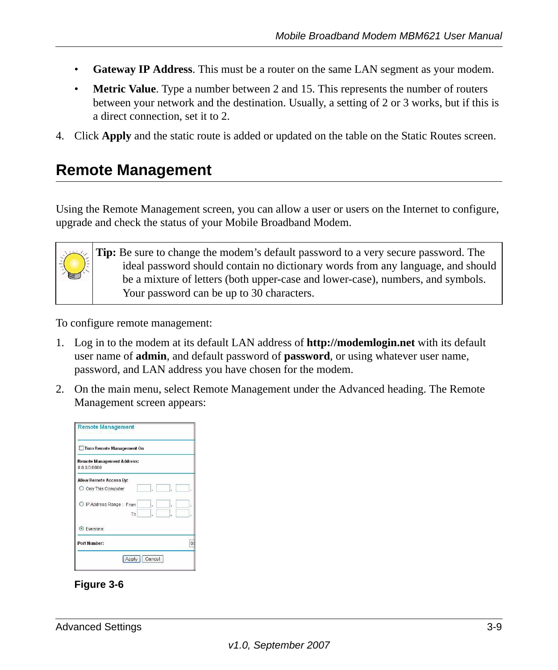- **Gateway IP Address**. This must be a router on the same LAN segment as your modem.
- **Metric Value**. Type a number between 2 and 15. This represents the number of routers between your network and the destination. Usually, a setting of 2 or 3 works, but if this is a direct connection, set it to 2.
- 4. Click **Apply** and the static route is added or updated on the table on the Static Routes screen.

### <span id="page-34-0"></span>**Remote Management**

Using the Remote Management screen, you can allow a user or users on the Internet to configure, upgrade and check the status of your Mobile Broadband Modem.

**Tip:** Be sure to change the modem's default password to a very secure password. The ideal password should contain no dictionary words from any language, and should be a mixture of letters (both upper-case and lower-case), numbers, and symbols. Your password can be up to 30 characters.

To configure remote management:

- 1. Log in to the modem at its default LAN address of **http://modemlogin.net** with its default user name of **admin**, and default password of **password**, or using whatever user name, password, and LAN address you have chosen for the modem.
- 2. On the main menu, select Remote Management under the Advanced heading. The Remote Management screen appears:

| Turn Remote Management On                         |         |
|---------------------------------------------------|---------|
| <b>Remote Management Address:</b><br>0.0.0.0.8080 |         |
| Allow Remote Access By:                           |         |
| O Only This Computer:                             |         |
| IP Address Range: From<br>To                      | i<br>ł. |
| ◉<br>Everyone                                     |         |
| <b>Port Number:</b>                               | 86      |

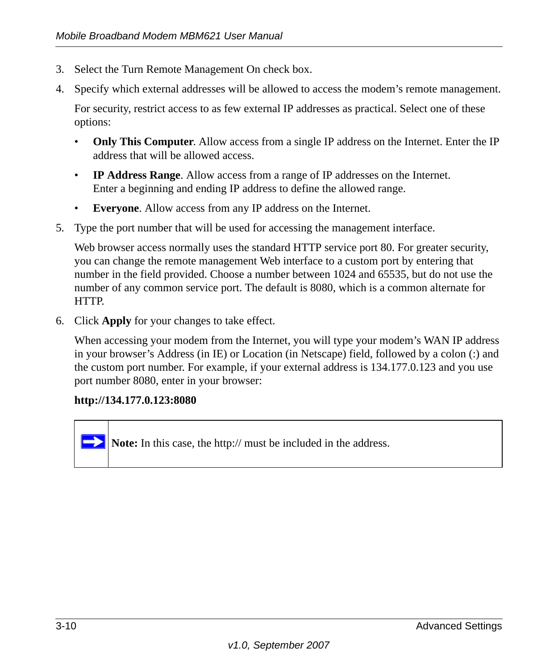- 3. Select the Turn Remote Management On check box.
- 4. Specify which external addresses will be allowed to access the modem's remote management.

For security, restrict access to as few external IP addresses as practical. Select one of these options:

- **Only This Computer**. Allow access from a single IP address on the Internet. Enter the IP address that will be allowed access.
- **IP Address Range**. Allow access from a range of IP addresses on the Internet. Enter a beginning and ending IP address to define the allowed range.
- **Everyone**. Allow access from any IP address on the Internet.
- 5. Type the port number that will be used for accessing the management interface.

Web browser access normally uses the standard HTTP service port 80. For greater security, you can change the remote management Web interface to a custom port by entering that number in the field provided. Choose a number between 1024 and 65535, but do not use the number of any common service port. The default is 8080, which is a common alternate for HTTP.

6. Click **Apply** for your changes to take effect.

When accessing your modem from the Internet, you will type your modem's WAN IP address in your browser's Address (in IE) or Location (in Netscape) field, followed by a colon (:) and the custom port number. For example, if your external address is 134.177.0.123 and you use port number 8080, enter in your browser:

#### **http://134.177.0.123:8080**

**Note:** In this case, the http:// must be included in the address.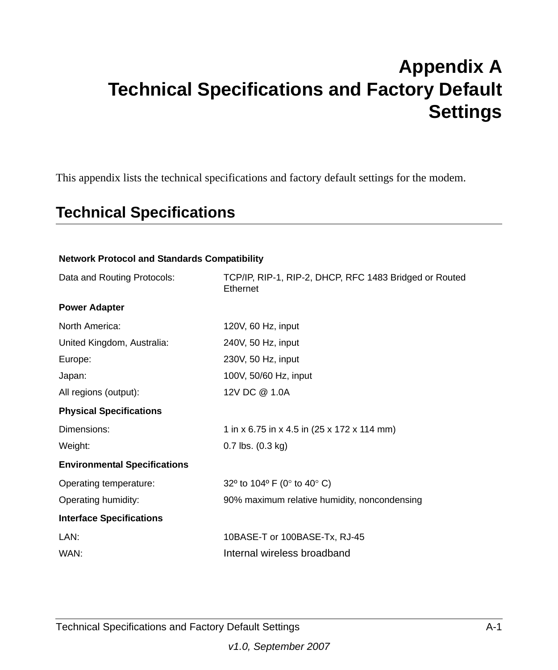# <span id="page-36-0"></span>**Appendix A Technical Specifications and Factory Default Settings**

This appendix lists the technical specifications and factory default settings for the modem.

### <span id="page-36-1"></span>**Technical Specifications**

| <b>Retwork Frotocol and Olandarus Compatibility</b> |                                                                             |
|-----------------------------------------------------|-----------------------------------------------------------------------------|
| Data and Routing Protocols:                         | TCP/IP, RIP-1, RIP-2, DHCP, RFC 1483 Bridged or Routed<br>Ethernet          |
| <b>Power Adapter</b>                                |                                                                             |
| North America:                                      | 120V, 60 Hz, input                                                          |
| United Kingdom, Australia:                          | 240V, 50 Hz, input                                                          |
| Europe:                                             | 230V, 50 Hz, input                                                          |
| Japan:                                              | 100V, 50/60 Hz, input                                                       |
| All regions (output):                               | 12V DC @ 1.0A                                                               |
| <b>Physical Specifications</b>                      |                                                                             |
| Dimensions:                                         | 1 in x 6.75 in x 4.5 in (25 x 172 x 114 mm)                                 |
| Weight:                                             | $0.7$ lbs. $(0.3 \text{ kg})$                                               |
| <b>Environmental Specifications</b>                 |                                                                             |
| Operating temperature:                              | 32 <sup>o</sup> to 104 <sup>o</sup> F (0 <sup>o</sup> to 40 <sup>o</sup> C) |
| Operating humidity:                                 | 90% maximum relative humidity, noncondensing                                |
| <b>Interface Specifications</b>                     |                                                                             |
| LAN:                                                | 10BASE-T or 100BASE-Tx, RJ-45                                               |
| WAN:                                                | Internal wireless broadband                                                 |

#### **Network Protocol and Standards Compatibility**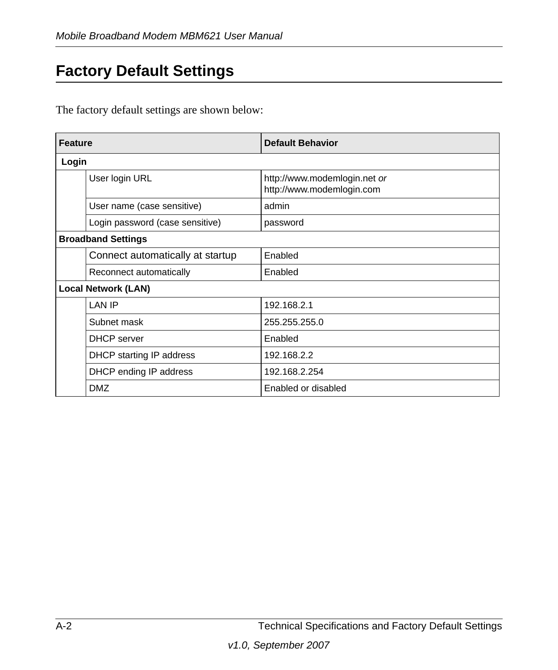### <span id="page-37-1"></span><span id="page-37-0"></span>**Factory Default Settings**

The factory default settings are shown below:

| <b>Feature</b> |                                  | <b>Default Behavior</b>                                   |
|----------------|----------------------------------|-----------------------------------------------------------|
| Login          |                                  |                                                           |
|                | User login URL                   | http://www.modemlogin.net or<br>http://www.modemlogin.com |
|                | User name (case sensitive)       | admin                                                     |
|                | Login password (case sensitive)  | password                                                  |
|                | <b>Broadband Settings</b>        |                                                           |
|                | Connect automatically at startup | Enabled                                                   |
|                | Reconnect automatically          | Enabled                                                   |
|                | <b>Local Network (LAN)</b>       |                                                           |
|                | <b>LAN IP</b>                    | 192.168.2.1                                               |
|                | Subnet mask                      | 255.255.255.0                                             |
|                | <b>DHCP</b> server               | Enabled                                                   |
|                | DHCP starting IP address         | 192.168.2.2                                               |
|                | DHCP ending IP address           | 192.168.2.254                                             |
|                | DMZ                              | Enabled or disabled                                       |